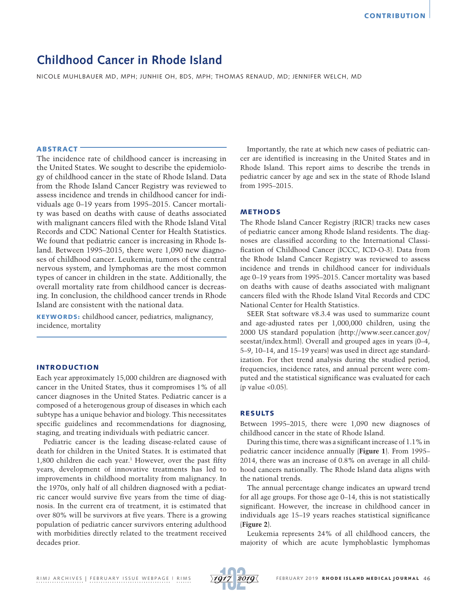# **Childhood Cancer in Rhode Island**

NICOLE MUHLBAUER MD, MPH; JUNHIE OH, BDS, MPH; THOMAS RENAUD, MD; JENNIFER WELCH, MD

# ABSTRACT

The incidence rate of childhood cancer is increasing in the United States. We sought to describe the epidemiology of childhood cancer in the state of Rhode Island. Data from the Rhode Island Cancer Registry was reviewed to assess incidence and trends in childhood cancer for individuals age 0–19 years from 1995–2015. Cancer mortality was based on deaths with cause of deaths associated with malignant cancers filed with the Rhode Island Vital Records and CDC National Center for Health Statistics. We found that pediatric cancer is increasing in Rhode Island. Between 1995–2015, there were 1,090 new diagnoses of childhood cancer. Leukemia, tumors of the central nervous system, and lymphomas are the most common types of cancer in children in the state. Additionally, the overall mortality rate from childhood cancer is decreasing. In conclusion, the childhood cancer trends in Rhode Island are consistent with the national data.

KEYWORDS: childhood cancer, pediatrics, malignancy, incidence, mortality

# INTRODUCTION

Each year approximately 15,000 children are diagnosed with cancer in the United States, thus it compromises 1% of all cancer diagnoses in the United States. Pediatric cancer is a composed of a heterogenous group of diseases in which each subtype has a unique behavior and biology. This necessitates specific guidelines and recommendations for diagnosing, staging, and treating individuals with pediatric cancer.

Pediatric cancer is the leading disease-related cause of death for children in the United States. It is estimated that 1,800 children die each year.<sup>1</sup> However, over the past fifty years, development of innovative treatments has led to improvements in childhood mortality from malignancy. In the 1970s, only half of all children diagnosed with a pediatric cancer would survive five years from the time of diagnosis. In the current era of treatment, it is estimated that over 80% will be survivors at five years. There is a growing population of pediatric cancer survivors entering adulthood with morbidities directly related to the treatment received decades prior.

Importantly, the rate at which new cases of pediatric cancer are identified is increasing in the United States and in Rhode Island. This report aims to describe the trends in pediatric cancer by age and sex in the state of Rhode Island from 1995–2015.

# METHODS

The Rhode Island Cancer Registry (RICR) tracks new cases of pediatric cancer among Rhode Island residents. The diagnoses are classified according to the International Classification of Childhood Cancer (ICCC, ICD-O-3). Data from the Rhode Island Cancer Registry was reviewed to assess incidence and trends in childhood cancer for individuals age 0–19 years from 1995–2015. Cancer mortality was based on deaths with cause of deaths associated with malignant cancers filed with the Rhode Island Vital Records and CDC National Center for Health Statistics.

SEER Stat software v8.3.4 was used to summarize count and age-adjusted rates per 1,000,000 children, using the 2000 US standard population (http://www.seer.cancer.gov/ seestat/index.html). Overall and grouped ages in years (0–4, 5–9, 10–14, and 15–19 years) was used in direct age standardization. For thet trend analysis during the studied period, frequencies, incidence rates, and annual percent were computed and the statistical significance was evaluated for each  $(p$  value < $0.05$ ).

# RESULTS

Between 1995–2015, there were 1,090 new diagnoses of childhood cancer in the state of Rhode Island.

During this time, there was a significant increase of 1.1% in pediatric cancer incidence annually (**Figure 1**). From 1995– 2014, there was an increase of 0.8% on average in all childhood cancers nationally. The Rhode Island data aligns with the national trends.

The annual percentage change indicates an upward trend for all age groups. For those age 0–14, this is not statistically significant. However, the increase in childhood cancer in individuals age 15–19 years reaches statistical significance (**Figure 2**).

Leukemia represents 24% of all childhood cancers, the majority of which are acute lymphoblastic lymphomas

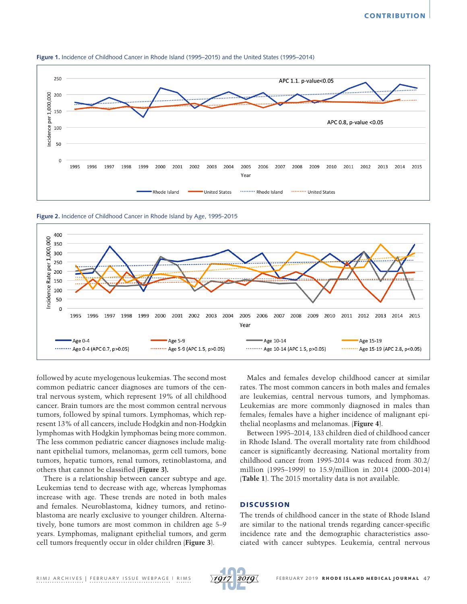

**Figure 1.** Incidence of Childhood Cancer in Rhode Island (1995–2015) and the United States (1995–2014)

**Figure 2.** Incidence of Childhood Cancer in Rhode Island by Age, 1995-2015



followed by acute myelogenous leukemias. The second most common pediatric cancer diagnoses are tumors of the central nervous system, which represent 19% of all childhood cancer. Brain tumors are the most common central nervous tumors, followed by spinal tumors. Lymphomas, which represent 13% of all cancers, include Hodgkin and non-Hodgkin lymphomas with Hodgkin lymphomas being more common. The less common pediatric cancer diagnoses include malignant epithelial tumors, melanomas, germ cell tumors, bone tumors, hepatic tumors, renal tumors, retinoblastoma, and others that cannot be classified (**Figure 3).**

There is a relationship between cancer subtype and age. Leukemias tend to decrease with age, whereas lymphomas increase with age. These trends are noted in both males and females. Neuroblastoma, kidney tumors, and retinoblastoma are nearly exclusive to younger children. Alternatively, bone tumors are most common in children age 5–9 years. Lymphomas, malignant epithelial tumors, and germ cell tumors frequently occur in older children (**Figure 3**).

Males and females develop childhood cancer at similar rates. The most common cancers in both males and females are leukemias, central nervous tumors, and lymphomas. Leukemias are more commonly diagnosed in males than females; females have a higher incidence of malignant epithelial neoplasms and melanomas. (**Figure 4**).

Between 1995–2014, 133 children died of childhood cancer in Rhode Island. The overall mortality rate from childhood cancer is significantly decreasing. National mortality from childhood cancer from 1995-2014 was reduced from 30.2/ million (1995–1999) to 15.9/million in 2014 (2000–2014) (**Table 1**). The 2015 mortality data is not available.

# **DISCUSSION**

The trends of childhood cancer in the state of Rhode Island are similar to the national trends regarding cancer-specific incidence rate and the demographic characteristics associated with cancer subtypes. Leukemia, central nervous

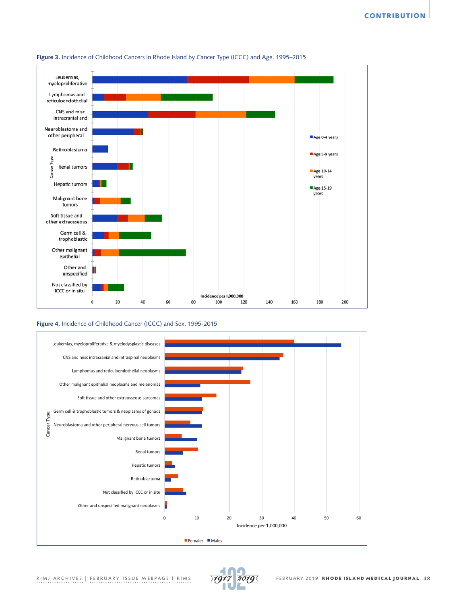



## **Figure 4.** Incidence of Childhood Cancer (ICCC) and Sex, 1995-2015